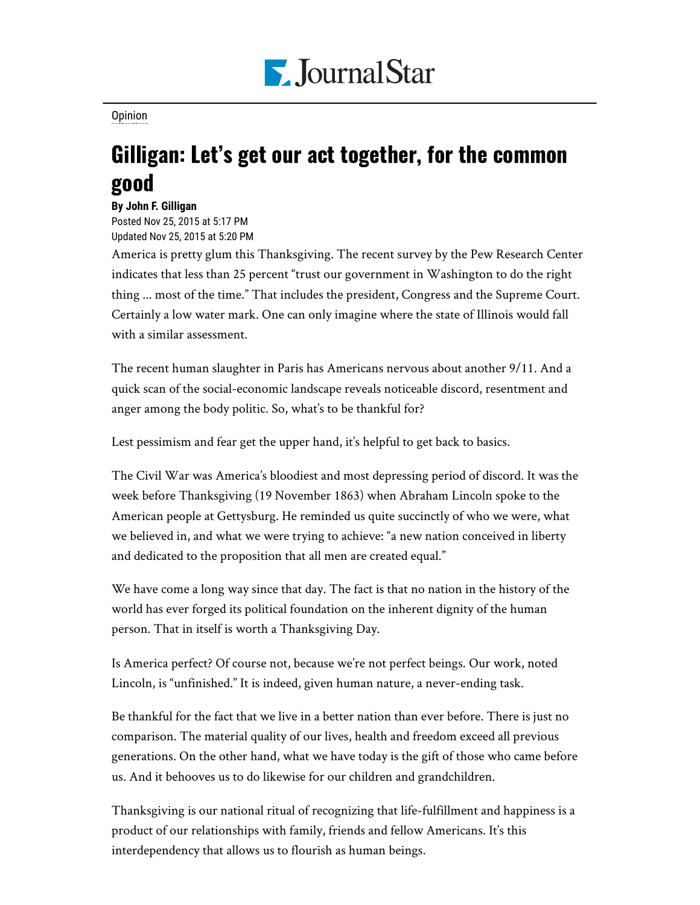

[Opinion](https://www.pjstar.com/search?text=Opinion)

## Gilligan: Let's get our act together, for the common good

**By John F. Gilligan**

Posted Nov 25, 2015 at 5:17 PM Updated Nov 25, 2015 at 5:20 PM

America is pretty glum this Thanksgiving. The recent survey by the Pew Research Center indicates that less than 25 percent "trust our government in Washington to do the right thing ... most of the time." That includes the president, Congress and the Supreme Court. Certainly a low water mark. One can only imagine where the state of Illinois would fall with a similar assessment.

The recent human slaughter in Paris has Americans nervous about another 9/11. And a quick scan of the social-economic landscape reveals noticeable discord, resentment and anger among the body politic. So, what's to be thankful for?

Lest pessimism and fear get the upper hand, it's helpful to get back to basics.

The Civil War was America's bloodiest and most depressing period of discord. It was the week before Thanksgiving (19 November 1863) when Abraham Lincoln spoke to the American people at Gettysburg. He reminded us quite succinctly of who we were, what we believed in, and what we were trying to achieve: "a new nation conceived in liberty and dedicated to the proposition that all men are created equal."

We have come a long way since that day. The fact is that no nation in the history of the world has ever forged its political foundation on the inherent dignity of the human person. That in itself is worth a Thanksgiving Day.

Is America perfect? Of course not, because we're not perfect beings. Our work, noted Lincoln, is "unfinished." It is indeed, given human nature, a never-ending task.

Be thankful for the fact that we live in a better nation than ever before. There is just no comparison. The material quality of our lives, health and freedom exceed all previous generations. On the other hand, what we have today is the gift of those who came before us. And it behooves us to do likewise for our children and grandchildren.

Thanksgiving is our national ritual of recognizing that life-fulfillment and happiness is a product of our relationships with family, friends and fellow Americans. It's this interdependency that allows us to flourish as human beings.